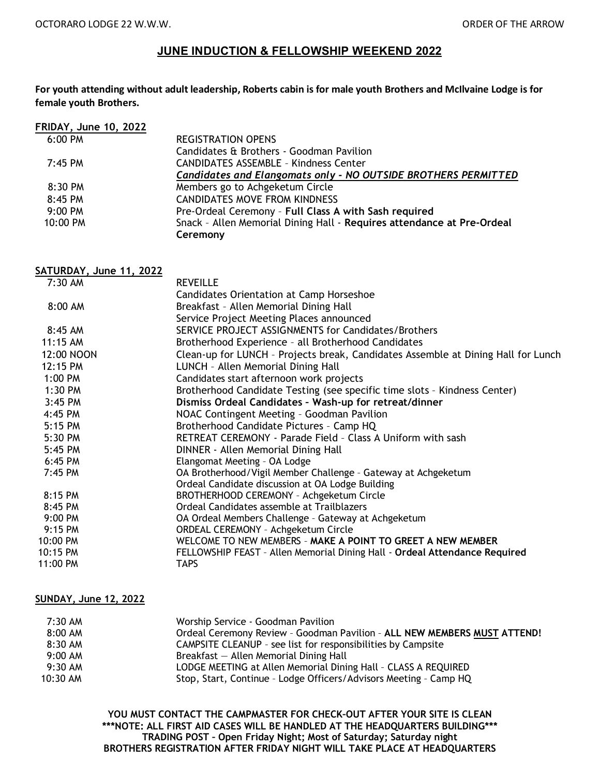### **JUNE INDUCTION & FELLOWSHIP WEEKEND 2022**

**For youth attending without adult leadership, Roberts cabin is for male youth Brothers and McIlvaine Lodge is for female youth Brothers.**

| <b>FRIDAY, June 10, 2022</b> |                                                                        |
|------------------------------|------------------------------------------------------------------------|
| $6:00 \text{ PM}$            | <b>REGISTRATION OPENS</b>                                              |
|                              | Candidates & Brothers - Goodman Pavilion                               |
| $7:45$ PM                    | <b>CANDIDATES ASSEMBLE - Kindness Center</b>                           |
|                              | Candidates and Elangomats only - NO OUTSIDE BROTHERS PERMITTED         |
| $8:30$ PM                    | Members go to Achgeketum Circle                                        |
| $8:45$ PM                    | <b>CANDIDATES MOVE FROM KINDNESS</b>                                   |
| $9:00$ PM                    | Pre-Ordeal Ceremony - Full Class A with Sash required                  |
| 10:00 PM                     | Snack - Allen Memorial Dining Hall - Requires attendance at Pre-Ordeal |
|                              | Ceremony                                                               |

**SATURDAY, June 11, 2022** 7:30 AM REVEILLE Candidates Orientation at Camp Horseshoe 8:00 AM Breakfast – Allen Memorial Dining Hall Service Project Meeting Places announced 8:45 AM SERVICE PROJECT ASSIGNMENTS for Candidates/Brothers 11:15 AM Brotherhood Experience – all Brotherhood Candidates 12:00 NOON Clean-up for LUNCH - Projects break, Candidates Assemble at Dining Hall for Lunch<br>12:15 PM CLUNCH - Allen Memorial Dining Hall LUNCH - Allen Memorial Dining Hall 1:00 PM Candidates start afternoon work projects 1:30 PM Brotherhood Candidate Testing (see specific time slots – Kindness Center) 3:45 PM **Dismiss Ordeal Candidates – Wash-up for retreat/dinner** 4:45 PM NOAC Contingent Meeting – Goodman Pavilion 5:15 PM Brotherhood Candidate Pictures – Camp HQ 5:30 PM RETREAT CEREMONY - Parade Field – Class A Uniform with sash 5:45 PM DINNER - Allen Memorial Dining Hall 6:45 PM Elangomat Meeting – OA Lodge 7:45 PM OA Brotherhood/Vigil Member Challenge – Gateway at Achgeketum Ordeal Candidate discussion at OA Lodge Building 8:15 PM BROTHERHOOD CEREMONY – Achgeketum Circle 8:45 PM Ordeal Candidates assemble at Trailblazers 9:00 PM OA Ordeal Members Challenge – Gateway at Achgeketum 9:15 PM ORDEAL CEREMONY – Achgeketum Circle 10:00 PM WELCOME TO NEW MEMBERS – **MAKE A POINT TO GREET A NEW MEMBER** 10:15 PM FELLOWSHIP FEAST – Allen Memorial Dining Hall - **Ordeal Attendance Required** 11:00 PM TAPS

#### **SUNDAY, June 12, 2022**

| 7:30 AM    | Worship Service - Goodman Pavilion                                       |
|------------|--------------------------------------------------------------------------|
| 8:00 AM    | Ordeal Ceremony Review - Goodman Pavilion - ALL NEW MEMBERS MUST ATTEND! |
| $8:30$ AM  | CAMPSITE CLEANUP - see list for responsibilities by Campsite             |
| $9:00$ AM  | $Breakfast - Allen Memorial Dining Hall$                                 |
| $9:30$ AM  | LODGE MEETING at Allen Memorial Dining Hall - CLASS A REQUIRED           |
| $10:30$ AM | Stop, Start, Continue - Lodge Officers/Advisors Meeting - Camp HQ        |

**YOU MUST CONTACT THE CAMPMASTER FOR CHECK–OUT AFTER YOUR SITE IS CLEAN \*\*\*NOTE: ALL FIRST AID CASES WILL BE HANDLED AT THE HEADQUARTERS BUILDING\*\*\* TRADING POST – Open Friday Night; Most of Saturday; Saturday night BROTHERS REGISTRATION AFTER FRIDAY NIGHT WILL TAKE PLACE AT HEADQUARTERS**